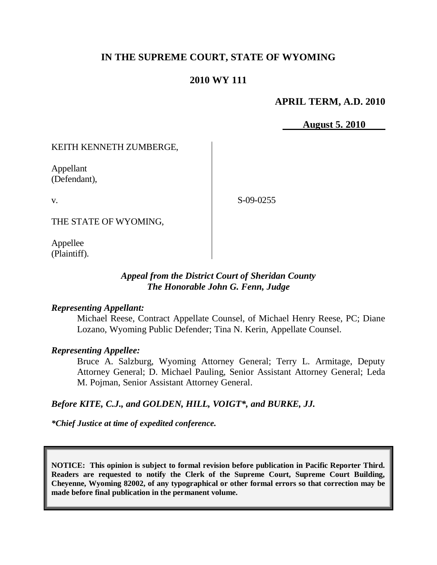# **IN THE SUPREME COURT, STATE OF WYOMING**

# **2010 WY 111**

### **APRIL TERM, A.D. 2010**

 **August 5. 2010**

### KEITH KENNETH ZUMBERGE,

Appellant (Defendant),

v.

S-09-0255

THE STATE OF WYOMING,

Appellee (Plaintiff).

## *Appeal from the District Court of Sheridan County The Honorable John G. Fenn, Judge*

### *Representing Appellant:*

Michael Reese, Contract Appellate Counsel, of Michael Henry Reese, PC; Diane Lozano, Wyoming Public Defender; Tina N. Kerin, Appellate Counsel.

### *Representing Appellee:*

Bruce A. Salzburg, Wyoming Attorney General; Terry L. Armitage, Deputy Attorney General; D. Michael Pauling, Senior Assistant Attorney General; Leda M. Pojman, Senior Assistant Attorney General.

### *Before KITE, C.J., and GOLDEN, HILL, VOIGT\*, and BURKE, JJ.*

*\*Chief Justice at time of expedited conference.*

**NOTICE: This opinion is subject to formal revision before publication in Pacific Reporter Third. Readers are requested to notify the Clerk of the Supreme Court, Supreme Court Building, Cheyenne, Wyoming 82002, of any typographical or other formal errors so that correction may be made before final publication in the permanent volume.**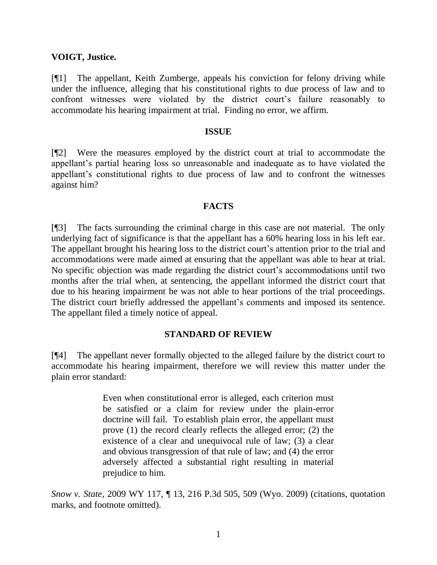### **VOIGT, Justice.**

[¶1] The appellant, Keith Zumberge, appeals his conviction for felony driving while under the influence, alleging that his constitutional rights to due process of law and to confront witnesses were violated by the district court's failure reasonably to accommodate his hearing impairment at trial. Finding no error, we affirm.

#### **ISSUE**

[¶2] Were the measures employed by the district court at trial to accommodate the appellant's partial hearing loss so unreasonable and inadequate as to have violated the appellant's constitutional rights to due process of law and to confront the witnesses against him?

### **FACTS**

[¶3] The facts surrounding the criminal charge in this case are not material. The only underlying fact of significance is that the appellant has a 60% hearing loss in his left ear. The appellant brought his hearing loss to the district court's attention prior to the trial and accommodations were made aimed at ensuring that the appellant was able to hear at trial. No specific objection was made regarding the district court's accommodations until two months after the trial when, at sentencing, the appellant informed the district court that due to his hearing impairment he was not able to hear portions of the trial proceedings. The district court briefly addressed the appellant's comments and imposed its sentence. The appellant filed a timely notice of appeal.

### **STANDARD OF REVIEW**

[¶4] The appellant never formally objected to the alleged failure by the district court to accommodate his hearing impairment, therefore we will review this matter under the plain error standard:

> Even when constitutional error is alleged, each criterion must be satisfied or a claim for review under the plain-error doctrine will fail. To establish plain error, the appellant must prove (1) the record clearly reflects the alleged error; (2) the existence of a clear and unequivocal rule of law; (3) a clear and obvious transgression of that rule of law; and (4) the error adversely affected a substantial right resulting in material prejudice to him.

*Snow v. State*, 2009 WY 117, ¶ 13, 216 P.3d 505, 509 (Wyo. 2009) (citations, quotation marks, and footnote omitted).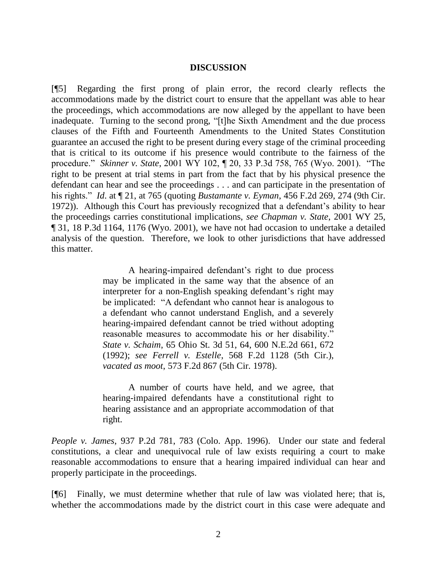#### **DISCUSSION**

[¶5] Regarding the first prong of plain error, the record clearly reflects the accommodations made by the district court to ensure that the appellant was able to hear the proceedings, which accommodations are now alleged by the appellant to have been inadequate. Turning to the second prong, "[t]he Sixth Amendment and the due process clauses of the Fifth and Fourteenth Amendments to the United States Constitution guarantee an accused the right to be present during every stage of the criminal proceeding that is critical to its outcome if his presence would contribute to the fairness of the procedure." *Skinner v. State*, 2001 WY 102, ¶ 20, 33 P.3d 758, 765 (Wyo. 2001). "The right to be present at trial stems in part from the fact that by his physical presence the defendant can hear and see the proceedings . . . and can participate in the presentation of his rights." *Id*. at ¶ 21, at 765 (quoting *Bustamante v. Eyman*, 456 F.2d 269, 274 (9th Cir. 1972)). Although this Court has previously recognized that a defendant's ability to hear the proceedings carries constitutional implications, *see Chapman v. State*, 2001 WY 25, ¶ 31, 18 P.3d 1164, 1176 (Wyo. 2001), we have not had occasion to undertake a detailed analysis of the question. Therefore, we look to other jurisdictions that have addressed this matter.

> A hearing-impaired defendant's right to due process may be implicated in the same way that the absence of an interpreter for a non-English speaking defendant's right may be implicated: "A defendant who cannot hear is analogous to a defendant who cannot understand English, and a severely hearing-impaired defendant cannot be tried without adopting reasonable measures to accommodate his or her disability." *State v. Schaim*, 65 Ohio St. 3d 51, 64, 600 N.E.2d 661, 672 (1992); *see Ferrell v. Estelle*, 568 F.2d 1128 (5th Cir.), *vacated as moot*, 573 F.2d 867 (5th Cir. 1978).

> A number of courts have held, and we agree, that hearing-impaired defendants have a constitutional right to hearing assistance and an appropriate accommodation of that right.

*People v. James*, 937 P.2d 781, 783 (Colo. App. 1996). Under our state and federal constitutions, a clear and unequivocal rule of law exists requiring a court to make reasonable accommodations to ensure that a hearing impaired individual can hear and properly participate in the proceedings.

[¶6] Finally, we must determine whether that rule of law was violated here; that is, whether the accommodations made by the district court in this case were adequate and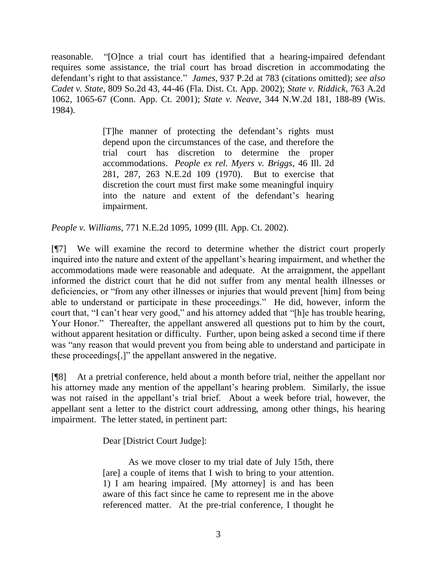reasonable. "[O]nce a trial court has identified that a hearing-impaired defendant requires some assistance, the trial court has broad discretion in accommodating the defendant's right to that assistance." *James*, 937 P.2d at 783 (citations omitted); *see also Cadet v. State*, 809 So.2d 43, 44-46 (Fla. Dist. Ct. App. 2002); *State v. Riddick*, 763 A.2d 1062, 1065-67 (Conn. App. Ct. 2001); *State v. Neave*, 344 N.W.2d 181, 188-89 (Wis. 1984).

> [T]he manner of protecting the defendant's rights must depend upon the circumstances of the case, and therefore the trial court has discretion to determine the proper accommodations. *People ex rel. Myers v. Briggs*, 46 Ill. 2d 281, 287, 263 N.E.2d 109 (1970). But to exercise that discretion the court must first make some meaningful inquiry into the nature and extent of the defendant's hearing impairment.

*People v. Williams*, 771 N.E.2d 1095, 1099 (Ill. App. Ct. 2002).

[¶7] We will examine the record to determine whether the district court properly inquired into the nature and extent of the appellant's hearing impairment, and whether the accommodations made were reasonable and adequate. At the arraignment, the appellant informed the district court that he did not suffer from any mental health illnesses or deficiencies, or "from any other illnesses or injuries that would prevent [him] from being able to understand or participate in these proceedings." He did, however, inform the court that, "I can't hear very good," and his attorney added that "[h]e has trouble hearing, Your Honor." Thereafter, the appellant answered all questions put to him by the court, without apparent hesitation or difficulty. Further, upon being asked a second time if there was "any reason that would prevent you from being able to understand and participate in these proceedings[,]" the appellant answered in the negative.

[¶8] At a pretrial conference, held about a month before trial, neither the appellant nor his attorney made any mention of the appellant's hearing problem. Similarly, the issue was not raised in the appellant's trial brief. About a week before trial, however, the appellant sent a letter to the district court addressing, among other things, his hearing impairment. The letter stated, in pertinent part:

Dear [District Court Judge]:

As we move closer to my trial date of July 15th, there [are] a couple of items that I wish to bring to your attention. 1) I am hearing impaired. [My attorney] is and has been aware of this fact since he came to represent me in the above referenced matter. At the pre-trial conference, I thought he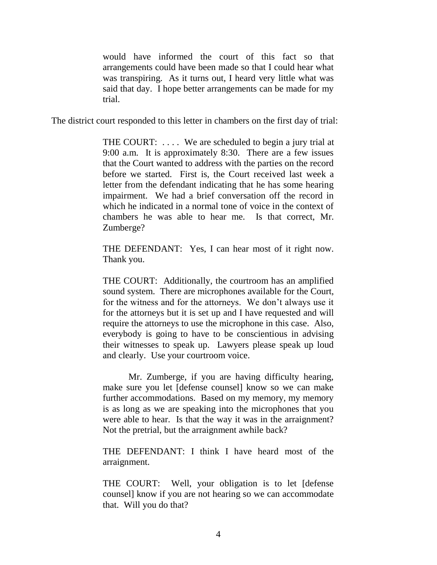would have informed the court of this fact so that arrangements could have been made so that I could hear what was transpiring. As it turns out, I heard very little what was said that day. I hope better arrangements can be made for my trial.

The district court responded to this letter in chambers on the first day of trial:

THE COURT: .... We are scheduled to begin a jury trial at 9:00 a.m. It is approximately 8:30. There are a few issues that the Court wanted to address with the parties on the record before we started. First is, the Court received last week a letter from the defendant indicating that he has some hearing impairment. We had a brief conversation off the record in which he indicated in a normal tone of voice in the context of chambers he was able to hear me. Is that correct, Mr. Zumberge?

THE DEFENDANT: Yes, I can hear most of it right now. Thank you.

THE COURT: Additionally, the courtroom has an amplified sound system. There are microphones available for the Court, for the witness and for the attorneys. We don't always use it for the attorneys but it is set up and I have requested and will require the attorneys to use the microphone in this case. Also, everybody is going to have to be conscientious in advising their witnesses to speak up. Lawyers please speak up loud and clearly. Use your courtroom voice.

Mr. Zumberge, if you are having difficulty hearing, make sure you let [defense counsel] know so we can make further accommodations. Based on my memory, my memory is as long as we are speaking into the microphones that you were able to hear. Is that the way it was in the arraignment? Not the pretrial, but the arraignment awhile back?

THE DEFENDANT: I think I have heard most of the arraignment.

THE COURT: Well, your obligation is to let [defense counsel] know if you are not hearing so we can accommodate that. Will you do that?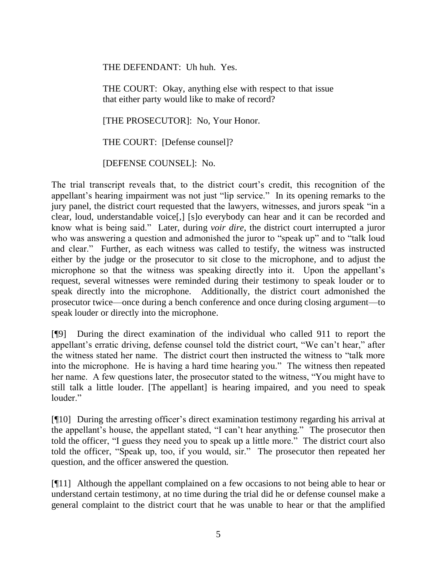THE DEFENDANT: Uh huh. Yes.

THE COURT: Okay, anything else with respect to that issue that either party would like to make of record?

[THE PROSECUTOR]: No, Your Honor.

THE COURT: [Defense counsel]?

[DEFENSE COUNSEL]: No.

The trial transcript reveals that, to the district court's credit, this recognition of the appellant's hearing impairment was not just "lip service." In its opening remarks to the jury panel, the district court requested that the lawyers, witnesses, and jurors speak "in a clear, loud, understandable voice[,] [s]o everybody can hear and it can be recorded and know what is being said." Later, during *voir dire*, the district court interrupted a juror who was answering a question and admonished the juror to "speak up" and to "talk loud and clear." Further, as each witness was called to testify, the witness was instructed either by the judge or the prosecutor to sit close to the microphone, and to adjust the microphone so that the witness was speaking directly into it. Upon the appellant's request, several witnesses were reminded during their testimony to speak louder or to speak directly into the microphone. Additionally, the district court admonished the prosecutor twice—once during a bench conference and once during closing argument—to speak louder or directly into the microphone.

[¶9] During the direct examination of the individual who called 911 to report the appellant's erratic driving, defense counsel told the district court, "We can't hear," after the witness stated her name. The district court then instructed the witness to "talk more into the microphone. He is having a hard time hearing you." The witness then repeated her name. A few questions later, the prosecutor stated to the witness, "You might have to still talk a little louder. [The appellant] is hearing impaired, and you need to speak louder."

[¶10] During the arresting officer's direct examination testimony regarding his arrival at the appellant's house, the appellant stated, "I can't hear anything." The prosecutor then told the officer, "I guess they need you to speak up a little more." The district court also told the officer, "Speak up, too, if you would, sir." The prosecutor then repeated her question, and the officer answered the question.

[¶11] Although the appellant complained on a few occasions to not being able to hear or understand certain testimony, at no time during the trial did he or defense counsel make a general complaint to the district court that he was unable to hear or that the amplified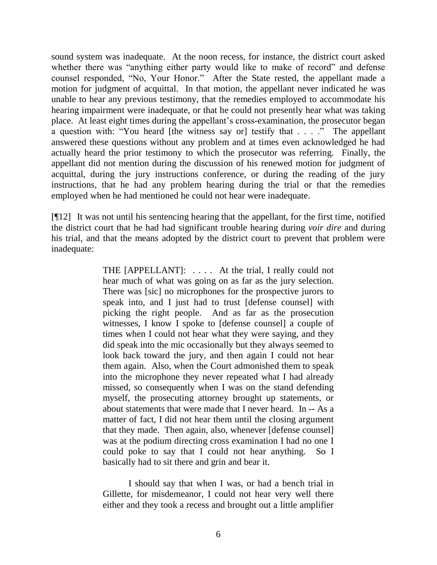sound system was inadequate. At the noon recess, for instance, the district court asked whether there was "anything either party would like to make of record" and defense counsel responded, "No, Your Honor." After the State rested, the appellant made a motion for judgment of acquittal. In that motion, the appellant never indicated he was unable to hear any previous testimony, that the remedies employed to accommodate his hearing impairment were inadequate, or that he could not presently hear what was taking place. At least eight times during the appellant's cross-examination, the prosecutor began a question with: "You heard [the witness say or] testify that . . . ." The appellant answered these questions without any problem and at times even acknowledged he had actually heard the prior testimony to which the prosecutor was referring. Finally, the appellant did not mention during the discussion of his renewed motion for judgment of acquittal, during the jury instructions conference, or during the reading of the jury instructions, that he had any problem hearing during the trial or that the remedies employed when he had mentioned he could not hear were inadequate.

[¶12] It was not until his sentencing hearing that the appellant, for the first time, notified the district court that he had had significant trouble hearing during *voir dire* and during his trial, and that the means adopted by the district court to prevent that problem were inadequate:

> THE [APPELLANT]: . . . . At the trial, I really could not hear much of what was going on as far as the jury selection. There was [sic] no microphones for the prospective jurors to speak into, and I just had to trust [defense counsel] with picking the right people. And as far as the prosecution witnesses, I know I spoke to [defense counsel] a couple of times when I could not hear what they were saying, and they did speak into the mic occasionally but they always seemed to look back toward the jury, and then again I could not hear them again. Also, when the Court admonished them to speak into the microphone they never repeated what I had already missed, so consequently when I was on the stand defending myself, the prosecuting attorney brought up statements, or about statements that were made that I never heard. In -- As a matter of fact, I did not hear them until the closing argument that they made. Then again, also, whenever [defense counsel] was at the podium directing cross examination I had no one I could poke to say that I could not hear anything. So I basically had to sit there and grin and bear it.

I should say that when I was, or had a bench trial in Gillette, for misdemeanor, I could not hear very well there either and they took a recess and brought out a little amplifier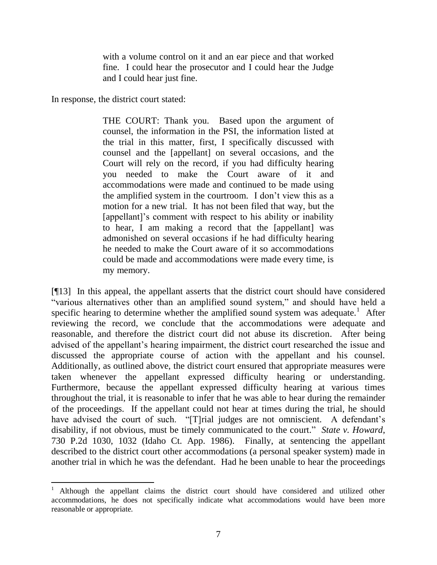with a volume control on it and an ear piece and that worked fine. I could hear the prosecutor and I could hear the Judge and I could hear just fine.

In response, the district court stated:

THE COURT: Thank you. Based upon the argument of counsel, the information in the PSI, the information listed at the trial in this matter, first, I specifically discussed with counsel and the [appellant] on several occasions, and the Court will rely on the record, if you had difficulty hearing you needed to make the Court aware of it and accommodations were made and continued to be made using the amplified system in the courtroom. I don't view this as a motion for a new trial. It has not been filed that way, but the [appellant]'s comment with respect to his ability or inability to hear, I am making a record that the [appellant] was admonished on several occasions if he had difficulty hearing he needed to make the Court aware of it so accommodations could be made and accommodations were made every time, is my memory.

[¶13] In this appeal, the appellant asserts that the district court should have considered "various alternatives other than an amplified sound system," and should have held a specific hearing to determine whether the amplified sound system was adequate.<sup>1</sup> After reviewing the record, we conclude that the accommodations were adequate and reasonable, and therefore the district court did not abuse its discretion. After being advised of the appellant's hearing impairment, the district court researched the issue and discussed the appropriate course of action with the appellant and his counsel. Additionally, as outlined above, the district court ensured that appropriate measures were taken whenever the appellant expressed difficulty hearing or understanding. Furthermore, because the appellant expressed difficulty hearing at various times throughout the trial, it is reasonable to infer that he was able to hear during the remainder of the proceedings. If the appellant could not hear at times during the trial, he should have advised the court of such. "[T]rial judges are not omniscient. A defendant's disability, if not obvious, must be timely communicated to the court." *State v. Howard*, 730 P.2d 1030, 1032 (Idaho Ct. App. 1986). Finally, at sentencing the appellant described to the district court other accommodations (a personal speaker system) made in another trial in which he was the defendant. Had he been unable to hear the proceedings

<sup>1</sup> Although the appellant claims the district court should have considered and utilized other accommodations, he does not specifically indicate what accommodations would have been more reasonable or appropriate.